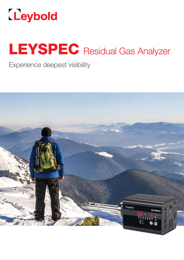

# LEYSPEC Residual Gas Analyzer

Experience deepest visibility

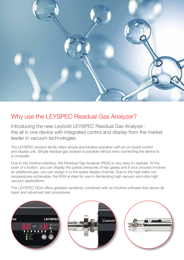

# Why use the LEYSPEC Residual Gas Analyzer?

Introducing the new Leybold LEYSPEC Residual Gas Analyzer the all in one device with integrated control and display from the market leader in vacuum technologies.

The LEYSPEC product family offers simple and intuitive operation with an on-board control and display unit. Simple residual gas analysis is possible without even connecting the device to a computer.

Due to the intuitive interface, the Residual Gas Analyzer (RGA) is very easy to operate. At the push of a button, you can display the partial pressures of key gases and if your process involves an additional gas, you can assign it to the spare display channel. Due to the high bake-out temperatures achievable, the RGA is ideal for use in demanding high vacuum and ultra high vacuum applications.

The LEYSPEC RGA offers greatest sensitivity combined with an intuitive software that allows all basic and advanced test procedures.

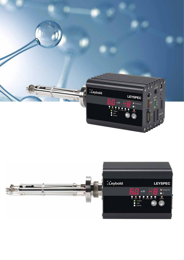

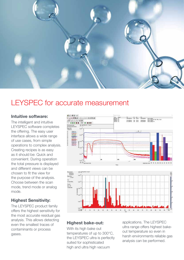

# LEYSPEC for accurate measurement

#### Intuitive software:

The intelligent and intuitive LEYSPEC software completes the offering. The easy user interface allows a wide range of use cases, from simple operations to complex analysis. Creating recipes is as easy as it should be: Quick and convenient. During operation the total pressure is displayed and different views can be chosen to fit the view for the purpose of the analysis. Choose between the scan mode, trend mode or analog mode.

#### Highest Sensitivity:

The LEYSPEC product family offers the highest sensitivity for the most accurate residual gas analysis. This allows detecting even the smallest traces of contaminants or process gases.



#### Highest bake-out:

With its high bake out temperatures of up to 300°C, the LEYSPEC ultra is perfectly suited for sophisticated high and ultra high vacuum

applications. The LEYSPEC ultra range offers highest bakeout temperature so even in harsh environments reliable gas analysis can be performed.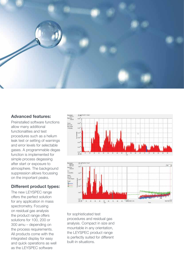

#### Advanced features:

Preinstalled software functions allow many additional functionalities and test procedures such as a helium leak test or setting of warnings and error levels for selectable gases. A programmable degas function is implemented for simple process degassing after start or exposure to atmosphere. The background suppression allows focussing on the important peaks.

#### Different product types:

The new LEYSPEC range offers the perfect solution for any application in mass spectrometry. Focusing on residual gas analysis the product range offers solutions for 100, 200 or 300 amu – depending on the process requirements. All products come with the integrated display for easy and quick operations as well as the LEYSPEC software



for sophisticated test procedures and residual gas analysis. Compact in size and mountable in any orientation, the LEYSPEC product range is perfectly suited for different built-in situations.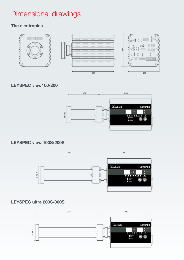# Dimensional drawings

## The electronics



## LEYSPEC view100/200



## LEYSPEC view 100S/200S



## LEYSPEC ultra 200S/300S

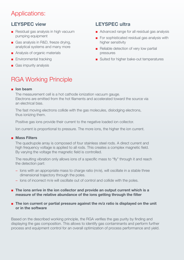# Applications:

## LEYSPEC view

- Residual gas analysis in high vacuum pumping equipment
- Gas analysis in R&D, freeze drying, analytical systems and many more
- Analysis of organic materials
- Environmental tracking
- Gas impurity analysis

# RGA Working Principle

#### **■** Ion beam

The measurement cell is a hot cathode ionization vacuum gauge. Electrons are emitted from the hot filaments and accelerated toward the source via an electrical bias.

The fast moving electrons collide with the gas molecules, dislodging electrons, thus ionizing them.

Positive gas ions provide their current to the negative loaded ion collector.

Ion current is proportional to pressure. The more ions, the higher the ion current.

#### ■ Mass Filters

The quadrupole array is composed of four stainless steel rods. A direct current and high frequency voltage is applied to all rods. This creates a complex magnetic field. By varying the voltage the magnetic field is controlled.

The resulting vibration only allows ions of a specific mass to "fly" through it and reach the detection part:

- − Ions with an appropriate mass to charge ratio (m/e), will oscillate in a stable three dimensional trajectory through the poles.
- − Ions of incorrect m/e will oscillate out of control and collide with the poles.
- The ions arrive in the ion collector and provide an output current which is a measure of the relative abundance of the ions getting through the filter
- The ion current or partial pressure against the m/z ratio is displayed on the unit or in the software

Based on the described working principle, the RGA verifies the gas purity by finding and displaying the gas composition. This allows to identify gas contaminants and perform further process and equipment control for an overall optimization of process performance and yield.

## LEYSPEC ultra

- Advanced range for all residual gas analysis
- For sophisticated residual gas analysis with higher sensitivity
- Reliable detection of very low partial pressures
- Suited for higher bake-out temperatures